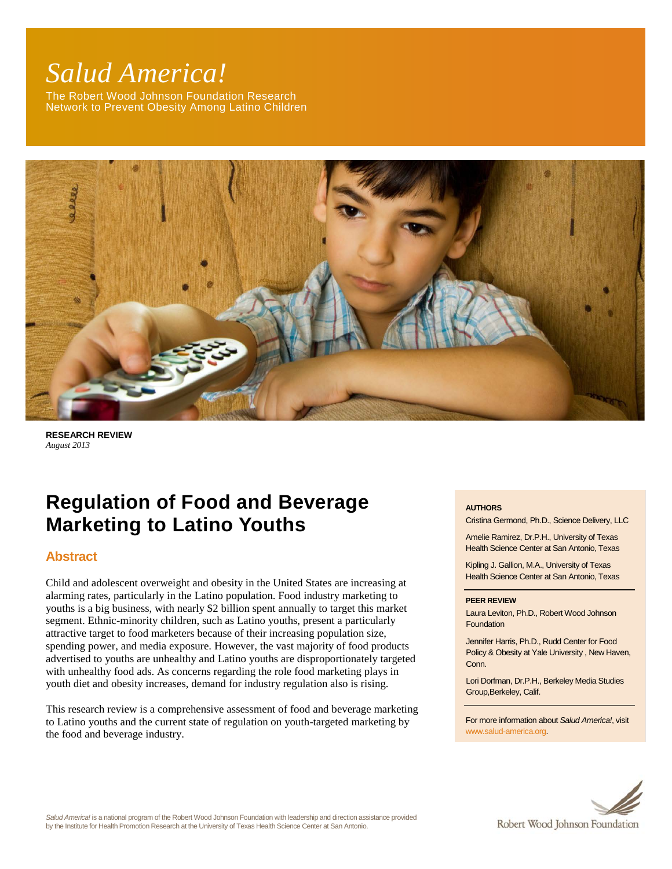# *Salud America!*

The Robert Wood Johnson Foundation Research Network to Prevent Obesity Among Latino Children



**RESEARCH REVIEW** *August 2013*

# **Regulation of Food and Beverage Marketing to Latino Youths**

# **Abstract**

Child and adolescent overweight and obesity in the United States are increasing at alarming rates, particularly in the Latino population. Food industry marketing to youths is a big business, with nearly \$2 billion spent annually to target this market segment. Ethnic-minority children, such as Latino youths, present a particularly attractive target to food marketers because of their increasing population size, spending power, and media exposure. However, the vast majority of food products advertised to youths are unhealthy and Latino youths are disproportionately targeted with unhealthy food ads. As concerns regarding the role food marketing plays in youth diet and obesity increases, demand for industry regulation also is rising.

This research review is a comprehensive assessment of food and beverage marketing to Latino youths and the current state of regulation on youth-targeted marketing by the food and beverage industry.

#### **AUTHORS**

Cristina Germond, Ph.D., Science Delivery, LLC

Amelie Ramirez, Dr.P.H., University of Texas Health Science Center at San Antonio, Texas

Kipling J. Gallion, M.A., University of Texas Health Science Center at San Antonio, Texas

#### **PEER REVIEW**

Laura Leviton, Ph.D., Robert Wood Johnson **Foundation** 

Jennifer Harris, Ph.D., Rudd Center for Food Policy & Obesity at Yale University , New Haven, Conn.

Lori Dorfman, Dr.P.H., Berkeley Media Studies Group,Berkeley, Calif.

For more information about *Salud America!*, visit [www.salud-america.org.](http://www.salud-america.org/) 



*Salud America!* is a national program of the Robert Wood Johnson Foundation with leadership and direction assistance provided by the Institute for Health Promotion Research at the University of Texas Health Science Center at San Antonio.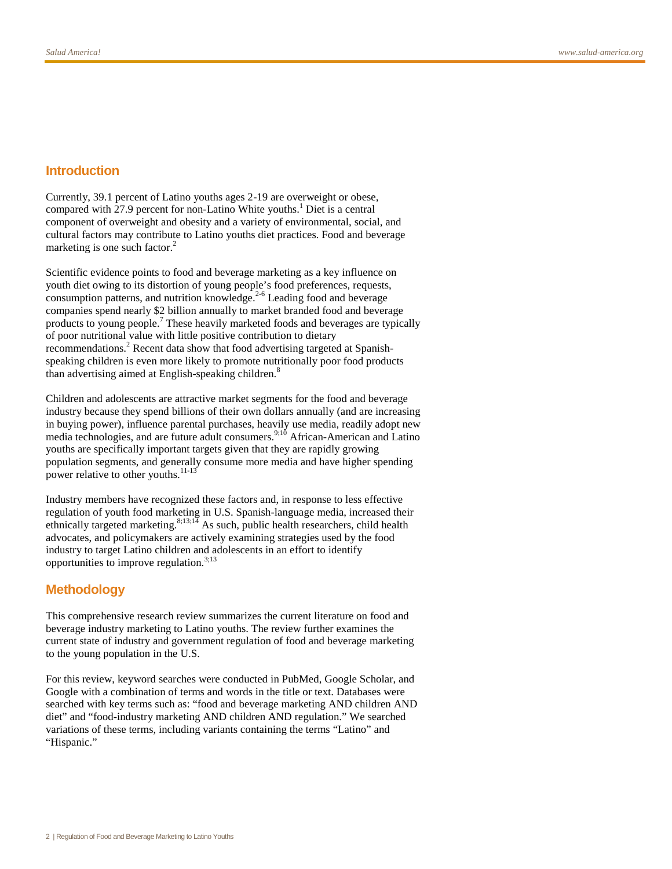## **Introduction**

Currently, 39.1 percent of Latino youths ages 2-19 are overweight or obese, compared with 27.9 percent for non-Latino White youths.<sup>1</sup> Diet is a central component of overweight and obesity and a variety of environmental, social, and cultural factors may contribute to Latino youths diet practices. Food and beverage marketing is one such factor.<sup>2</sup>

Scientific evidence points to food and beverage marketing as a key influence on youth diet owing to its distortion of young people's food preferences, requests, consumption patterns, and nutrition knowledge.<sup>2-6</sup> Leading food and beverage companies spend nearly \$2 billion annually to market branded food and beverage products to young people. <sup>7</sup> These heavily marketed foods and beverages are typically of poor nutritional value with little positive contribution to dietary recommendations.<sup>2</sup> Recent data show that food advertising targeted at Spanishspeaking children is even more likely to promote nutritionally poor food products than advertising aimed at English-speaking children.<sup>8</sup>

Children and adolescents are attractive market segments for the food and beverage industry because they spend billions of their own dollars annually (and are increasing in buying power), influence parental purchases, heavily use media, readily adopt new media technologies, and are future adult consumers.<sup>9;10</sup> African-American and Latino youths are specifically important targets given that they are rapidly growing population segments, and generally consume more media and have higher spending power relative to other youths.<sup>11-13</sup>

Industry members have recognized these factors and, in response to less effective regulation of youth food marketing in U.S. Spanish-language media, increased their ethnically targeted marketing.<sup>8;13;14</sup> As such, public health researchers, child health advocates, and policymakers are actively examining strategies used by the food industry to target Latino children and adolescents in an effort to identify opportunities to improve regulation. $3,13$ 

#### **Methodology**

This comprehensive research review summarizes the current literature on food and beverage industry marketing to Latino youths. The review further examines the current state of industry and government regulation of food and beverage marketing to the young population in the U.S.

For this review, keyword searches were conducted in PubMed, Google Scholar, and Google with a combination of terms and words in the title or text. Databases were searched with key terms such as: "food and beverage marketing AND children AND diet" and "food-industry marketing AND children AND regulation." We searched variations of these terms, including variants containing the terms "Latino" and "Hispanic."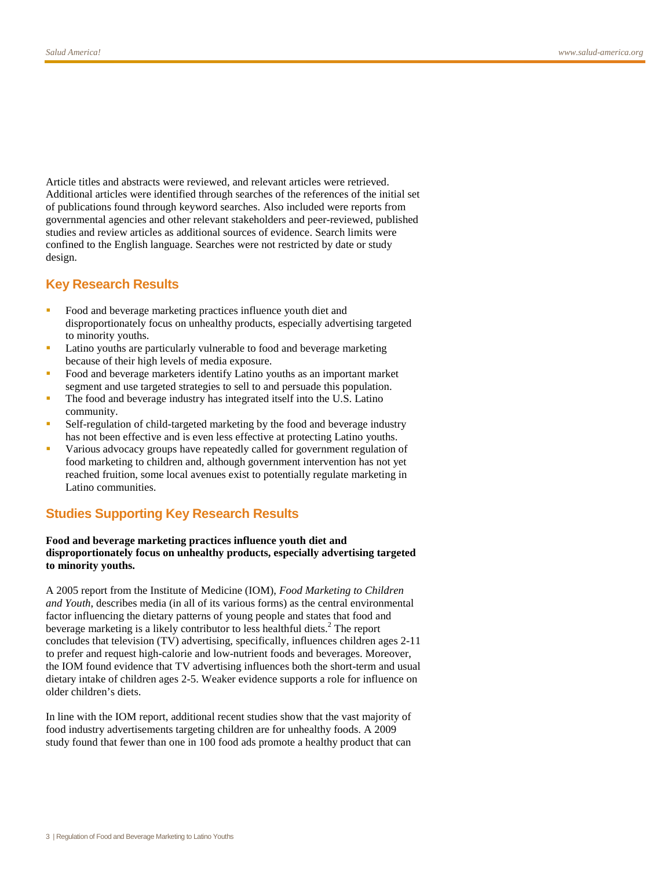Article titles and abstracts were reviewed, and relevant articles were retrieved. Additional articles were identified through searches of the references of the initial set of publications found through keyword searches. Also included were reports from governmental agencies and other relevant stakeholders and peer-reviewed, published studies and review articles as additional sources of evidence. Search limits were confined to the English language. Searches were not restricted by date or study design.

## **Key Research Results**

- Food and beverage marketing practices influence youth diet and disproportionately focus on unhealthy products, especially advertising targeted to minority youths.
- Latino youths are particularly vulnerable to food and beverage marketing because of their high levels of media exposure.
- **Food and beverage marketers identify Latino youths as an important market** segment and use targeted strategies to sell to and persuade this population.
- The food and beverage industry has integrated itself into the U.S. Latino community.
- Self-regulation of child-targeted marketing by the food and beverage industry has not been effective and is even less effective at protecting Latino youths.
- Various advocacy groups have repeatedly called for government regulation of food marketing to children and, although government intervention has not yet reached fruition, some local avenues exist to potentially regulate marketing in Latino communities.

# **Studies Supporting Key Research Results**

#### **Food and beverage marketing practices influence youth diet and disproportionately focus on unhealthy products, especially advertising targeted to minority youths.**

A 2005 report from the Institute of Medicine (IOM), *Food Marketing to Children and Youth*, describes media (in all of its various forms) as the central environmental factor influencing the dietary patterns of young people and states that food and beverage marketing is a likely contributor to less healthful diets.<sup>2</sup> The report concludes that television (TV) advertising, specifically, influences children ages 2-11 to prefer and request high-calorie and low-nutrient foods and beverages. Moreover, the IOM found evidence that TV advertising influences both the short-term and usual dietary intake of children ages 2-5. Weaker evidence supports a role for influence on older children's diets.

In line with the IOM report, additional recent studies show that the vast majority of food industry advertisements targeting children are for unhealthy foods. A 2009 study found that fewer than one in 100 food ads promote a healthy product that can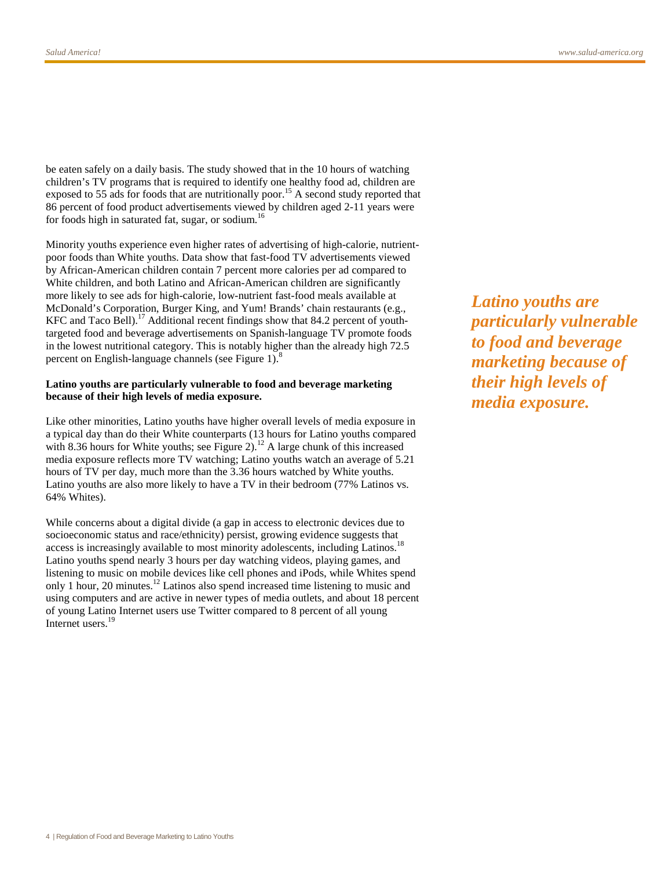be eaten safely on a daily basis. The study showed that in the 10 hours of watching children's TV programs that is required to identify one healthy food ad, children are exposed to 55 ads for foods that are nutritionally poor.<sup>15</sup> A second study reported that 86 percent of food product advertisements viewed by children aged 2-11 years were for foods high in saturated fat, sugar, or sodium.<sup>16</sup>

Minority youths experience even higher rates of advertising of high-calorie, nutrientpoor foods than White youths. Data show that fast-food TV advertisements viewed by African-American children contain 7 percent more calories per ad compared to White children, and both Latino and African-American children are significantly more likely to see ads for high-calorie, low-nutrient fast-food meals available at McDonald's Corporation, Burger King, and Yum! Brands' chain restaurants (e.g., KFC and Taco Bell).<sup>17</sup> Additional recent findings show that 84.2 percent of youthtargeted food and beverage advertisements on Spanish-language TV promote foods in the lowest nutritional category. This is notably higher than the already high 72.5 percent on English-language channels (see Figure 1).<sup>8</sup>

#### **Latino youths are particularly vulnerable to food and beverage marketing because of their high levels of media exposure.**

Like other minorities, Latino youths have higher overall levels of media exposure in a typical day than do their White counterparts (13 hours for Latino youths compared with 8.36 hours for White youths; see Figure 2).<sup>12</sup> A large chunk of this increased media exposure reflects more TV watching; Latino youths watch an average of 5.21 hours of TV per day, much more than the 3.36 hours watched by White youths. Latino youths are also more likely to have a TV in their bedroom (77% Latinos vs. 64% Whites).

While concerns about a digital divide (a gap in access to electronic devices due to socioeconomic status and race/ethnicity) persist, growing evidence suggests that access is increasingly available to most minority adolescents, including Latinos.<sup>18</sup> Latino youths spend nearly 3 hours per day watching videos, playing games, and listening to music on mobile devices like cell phones and iPods, while Whites spend only 1 hour, 20 minutes.<sup>12</sup> Latinos also spend increased time listening to music and using computers and are active in newer types of media outlets, and about 18 percent of young Latino Internet users use Twitter compared to 8 percent of all young Internet users.<sup>19</sup>

*Latino youths are particularly vulnerable to food and beverage marketing because of their high levels of media exposure.*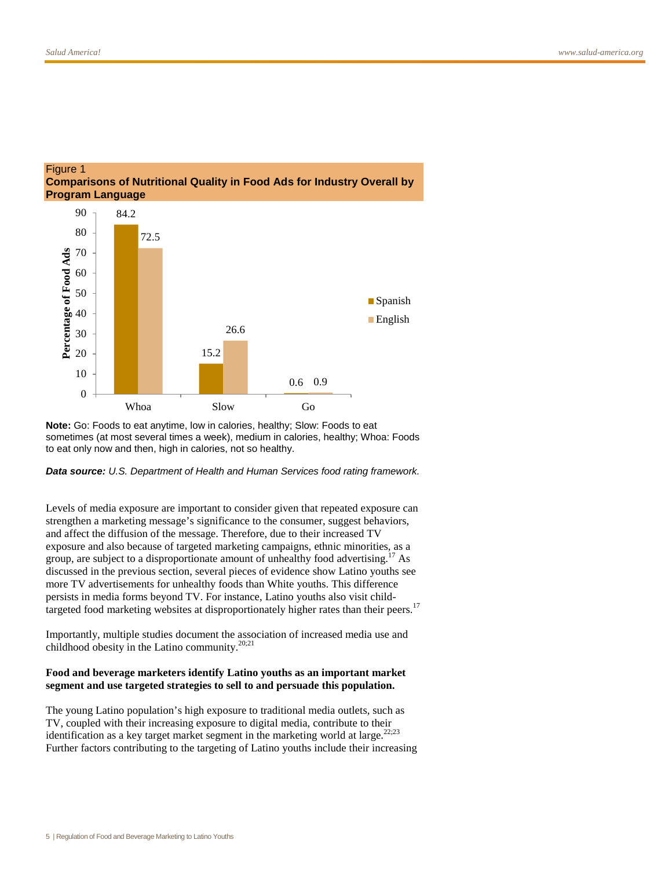

#### Figure 1 **Comparisons of Nutritional Quality in Food Ads for Industry Overall by Program Language**

**Note:** Go: Foods to eat anytime, low in calories, healthy; Slow: Foods to eat sometimes (at most several times a week), medium in calories, healthy; Whoa: Foods to eat only now and then, high in calories, not so healthy.

#### *Data source: U.S. Department of Health and Human Services food rating framework.*

Levels of media exposure are important to consider given that repeated exposure can strengthen a marketing message's significance to the consumer, suggest behaviors, and affect the diffusion of the message. Therefore, due to their increased TV exposure and also because of targeted marketing campaigns, ethnic minorities, as a group, are subject to a disproportionate amount of unhealthy food advertising.<sup>17</sup> As discussed in the previous section, several pieces of evidence show Latino youths see more TV advertisements for unhealthy foods than White youths. This difference persists in media forms beyond TV. For instance, Latino youths also visit childtargeted food marketing websites at disproportionately higher rates than their peers.<sup>17</sup>

Importantly, multiple studies document the association of increased media use and childhood obesity in the Latino community.<sup>20;21</sup>

#### **Food and beverage marketers identify Latino youths as an important market segment and use targeted strategies to sell to and persuade this population.**

The young Latino population's high exposure to traditional media outlets, such as TV, coupled with their increasing exposure to digital media, contribute to their identification as a key target market segment in the marketing world at large.<sup>22;23</sup> Further factors contributing to the targeting of Latino youths include their increasing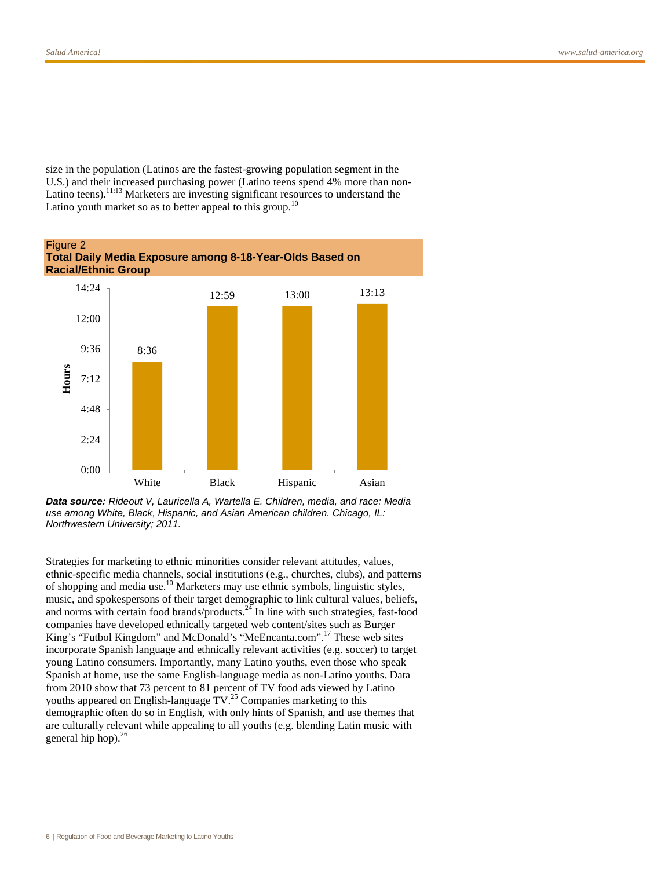size in the population (Latinos are the fastest-growing population segment in the U.S.) and their increased purchasing power (Latino teens spend 4% more than non-Latino teens).<sup>11;13</sup> Marketers are investing significant resources to understand the Latino youth market so as to better appeal to this group.<sup>10</sup>



*Data source: Rideout V, Lauricella A, Wartella E. Children, media, and race: Media use among White, Black, Hispanic, and Asian American children. Chicago, IL: Northwestern University; 2011.*

Strategies for marketing to ethnic minorities consider relevant attitudes, values, ethnic-specific media channels, social institutions (e.g., churches, clubs), and patterns of shopping and media use.<sup>10</sup> Marketers may use ethnic symbols, linguistic styles, music, and spokespersons of their target demographic to link cultural values, beliefs, and norms with certain food brands/products. $^{24}$  In line with such strategies, fast-food companies have developed ethnically targeted web content/sites such as Burger King's "Futbol Kingdom" and McDonald's "MeEncanta.com".<sup>17</sup> These web sites incorporate Spanish language and ethnically relevant activities (e.g. soccer) to target young Latino consumers. Importantly, many Latino youths, even those who speak Spanish at home, use the same English-language media as non-Latino youths. Data from 2010 show that 73 percent to 81 percent of TV food ads viewed by Latino youths appeared on English-language TV.<sup>25</sup> Companies marketing to this demographic often do so in English, with only hints of Spanish, and use themes that are culturally relevant while appealing to all youths (e.g. blending Latin music with general hip hop). $^{26}$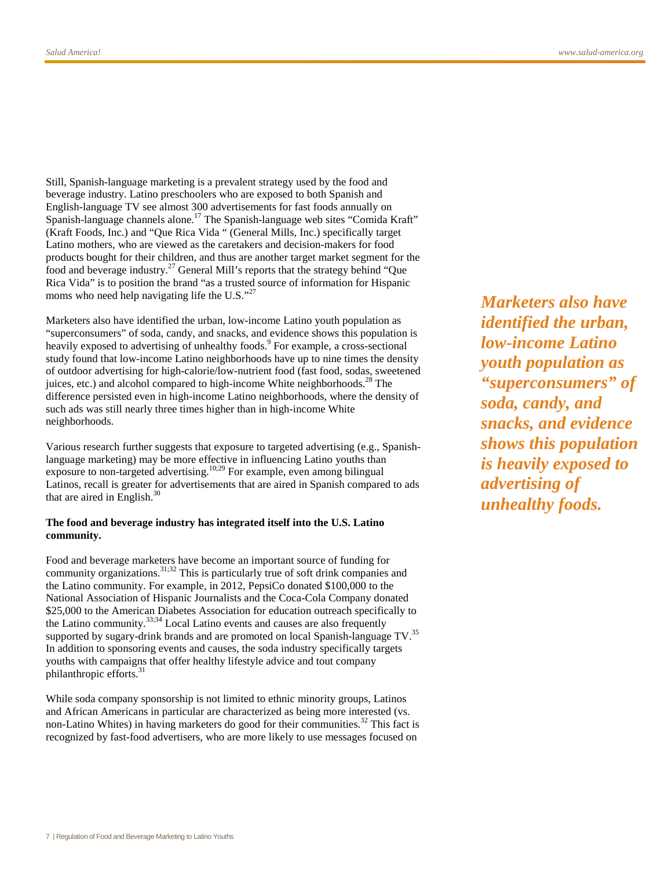Still, Spanish-language marketing is a prevalent strategy used by the food and beverage industry. Latino preschoolers who are exposed to both Spanish and English-language TV see almost 300 advertisements for fast foods annually on Spanish-language channels alone.<sup>17</sup> The Spanish-language web sites "Comida Kraft" (Kraft Foods, Inc.) and "Que Rica Vida " (General Mills, Inc.) specifically target Latino mothers, who are viewed as the caretakers and decision-makers for food products bought for their children, and thus are another target market segment for the food and beverage industry.<sup>27</sup> General Mill's reports that the strategy behind "Que Rica Vida" is to position the brand "as a trusted source of information for Hispanic moms who need help navigating life the U.S."<sup>27</sup>

Marketers also have identified the urban, low-income Latino youth population as "superconsumers" of soda, candy, and snacks, and evidence shows this population is heavily exposed to advertising of unhealthy foods.<sup>9</sup> For example, a cross-sectional study found that low-income Latino neighborhoods have up to nine times the density of outdoor advertising for high-calorie/low-nutrient food (fast food, sodas, sweetened juices, etc.) and alcohol compared to high-income White neighborhoods.<sup>28</sup> The difference persisted even in high-income Latino neighborhoods, where the density of such ads was still nearly three times higher than in high-income White neighborhoods.

Various research further suggests that exposure to targeted advertising (e.g., Spanishlanguage marketing) may be more effective in influencing Latino youths than exposure to non-targeted advertising.<sup>10;29</sup> For example, even among bilingual Latinos, recall is greater for advertisements that are aired in Spanish compared to ads that are aired in English.<sup>30</sup>

#### **The food and beverage industry has integrated itself into the U.S. Latino community.**

Food and beverage marketers have become an important source of funding for community organizations.31;32 This is particularly true of soft drink companies and the Latino community. For example, in 2012, PepsiCo donated \$100,000 to the National Association of Hispanic Journalists and the Coca-Cola Company donated \$25,000 to the American Diabetes Association for education outreach specifically to the Latino community.33;34 Local Latino events and causes are also frequently supported by sugary-drink brands and are promoted on local Spanish-language TV.<sup>35</sup> In addition to sponsoring events and causes, the soda industry specifically targets youths with campaigns that offer healthy lifestyle advice and tout company philanthropic efforts.<sup>31</sup>

While soda company sponsorship is not limited to ethnic minority groups, Latinos and African Americans in particular are characterized as being more interested (vs. non-Latino Whites) in having marketers do good for their communities.<sup>32</sup> This fact is recognized by fast-food advertisers, who are more likely to use messages focused on

*Marketers also have identified the urban, low-income Latino youth population as "superconsumers" of soda, candy, and snacks, and evidence shows this population is heavily exposed to advertising of unhealthy foods.*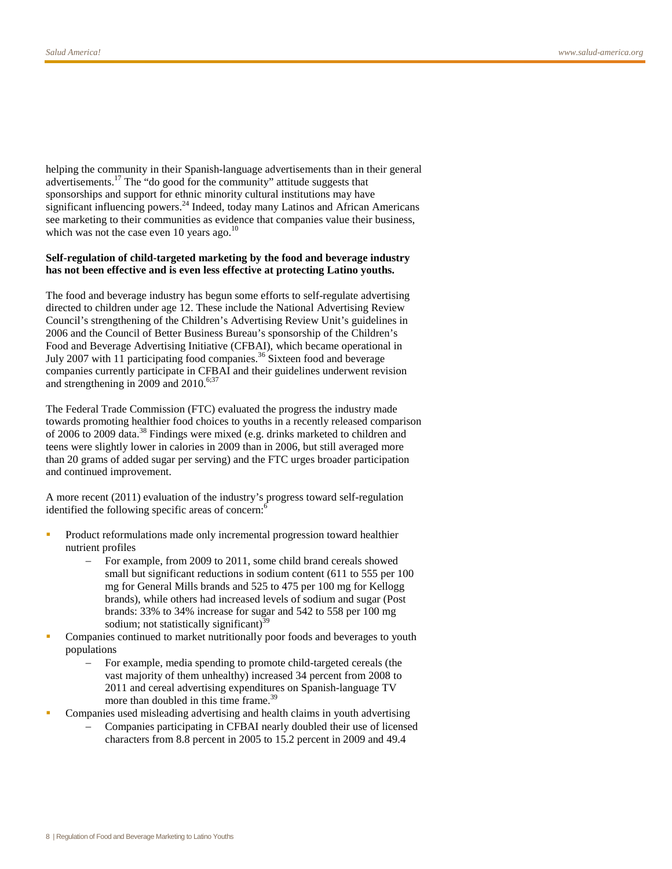helping the community in their Spanish-language advertisements than in their general advertisements.<sup>17</sup> The "do good for the community" attitude suggests that sponsorships and support for ethnic minority cultural institutions may have significant influencing powers. $^{24}$  Indeed, today many Latinos and African Americans see marketing to their communities as evidence that companies value their business, which was not the case even 10 years ago. $^{10}$ 

#### **Self-regulation of child-targeted marketing by the food and beverage industry has not been effective and is even less effective at protecting Latino youths.**

The food and beverage industry has begun some efforts to self-regulate advertising directed to children under age 12. These include the National Advertising Review Council's strengthening of the Children's Advertising Review Unit's guidelines in 2006 and the Council of Better Business Bureau's sponsorship of the Children's Food and Beverage Advertising Initiative (CFBAI), which became operational in July 2007 with 11 participating food companies.<sup>36</sup> Sixteen food and beverage companies currently participate in CFBAI and their guidelines underwent revision and strengthening in 2009 and 2010. $6,37$ 

The Federal Trade Commission (FTC) evaluated the progress the industry made towards promoting healthier food choices to youths in a recently released comparison of 2006 to 2009 data.<sup>38</sup> Findings were mixed (e.g. drinks marketed to children and teens were slightly lower in calories in 2009 than in 2006, but still averaged more than 20 grams of added sugar per serving) and the FTC urges broader participation and continued improvement.

A more recent (2011) evaluation of the industry's progress toward self-regulation identified the following specific areas of concern:<sup>6</sup>

- Product reformulations made only incremental progression toward healthier nutrient profiles
	- For example, from 2009 to 2011, some child brand cereals showed small but significant reductions in sodium content (611 to 555 per 100 mg for General Mills brands and 525 to 475 per 100 mg for Kellogg brands), while others had increased levels of sodium and sugar (Post brands: 33% to 34% increase for sugar and 542 to 558 per 100 mg sodium; not statistically significant) $39$
- Companies continued to market nutritionally poor foods and beverages to youth populations
	- For example, media spending to promote child-targeted cereals (the vast majority of them unhealthy) increased 34 percent from 2008 to 2011 and cereal advertising expenditures on Spanish-language TV more than doubled in this time frame.<sup>39</sup>
- Companies used misleading advertising and health claims in youth advertising
	- Companies participating in CFBAI nearly doubled their use of licensed characters from 8.8 percent in 2005 to 15.2 percent in 2009 and 49.4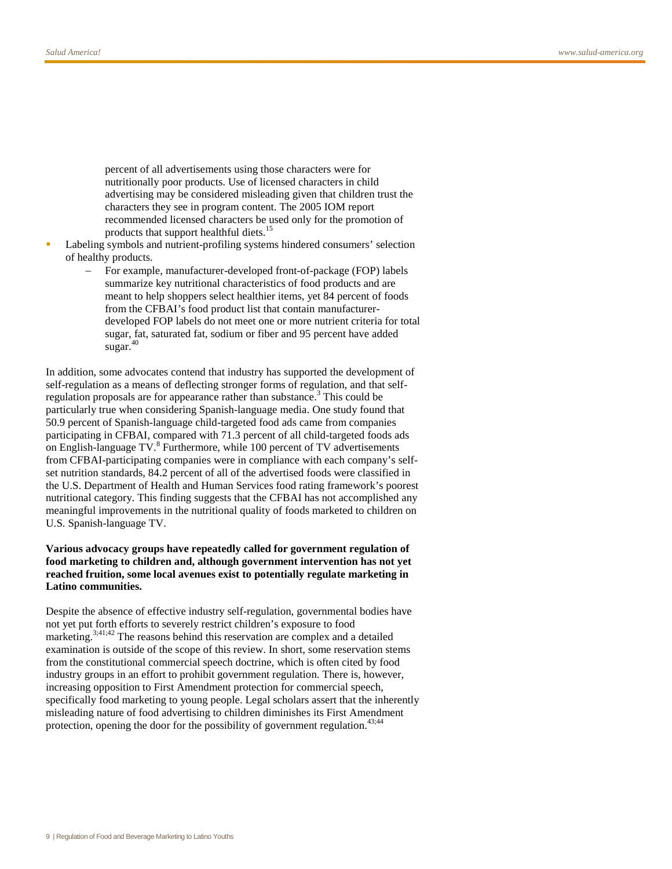percent of all advertisements using those characters were for nutritionally poor products. Use of licensed characters in child advertising may be considered misleading given that children trust the characters they see in program content. The 2005 IOM report recommended licensed characters be used only for the promotion of products that support healthful diets.<sup>15</sup>

- Labeling symbols and nutrient-profiling systems hindered consumers' selection of healthy products.
	- For example, manufacturer-developed front-of-package (FOP) labels summarize key nutritional characteristics of food products and are meant to help shoppers select healthier items, yet 84 percent of foods from the CFBAI's food product list that contain manufacturerdeveloped FOP labels do not meet one or more nutrient criteria for total sugar, fat, saturated fat, sodium or fiber and 95 percent have added  $sugar.<sup>40</sup>$

In addition, some advocates contend that industry has supported the development of self-regulation as a means of deflecting stronger forms of regulation, and that selfregulation proposals are for appearance rather than substance.<sup>3</sup> This could be particularly true when considering Spanish-language media. One study found that 50.9 percent of Spanish-language child-targeted food ads came from companies participating in CFBAI, compared with 71.3 percent of all child-targeted foods ads on English-language  $TV<sup>8</sup>$  Furthermore, while 100 percent of TV advertisements from CFBAI-participating companies were in compliance with each company's selfset nutrition standards, 84.2 percent of all of the advertised foods were classified in the U.S. Department of Health and Human Services food rating framework's poorest nutritional category. This finding suggests that the CFBAI has not accomplished any meaningful improvements in the nutritional quality of foods marketed to children on U.S. Spanish-language TV.

#### **Various advocacy groups have repeatedly called for government regulation of food marketing to children and, although government intervention has not yet reached fruition, some local avenues exist to potentially regulate marketing in Latino communities.**

Despite the absence of effective industry self-regulation, governmental bodies have not yet put forth efforts to severely restrict children's exposure to food marketing.<sup>3;41;42</sup> The reasons behind this reservation are complex and a detailed examination is outside of the scope of this review. In short, some reservation stems from the constitutional commercial speech doctrine, which is often cited by food industry groups in an effort to prohibit government regulation. There is, however, increasing opposition to First Amendment protection for commercial speech, specifically food marketing to young people. Legal scholars assert that the inherently misleading nature of food advertising to children diminishes its First Amendment protection, opening the door for the possibility of government regulation.<sup>43;44</sup>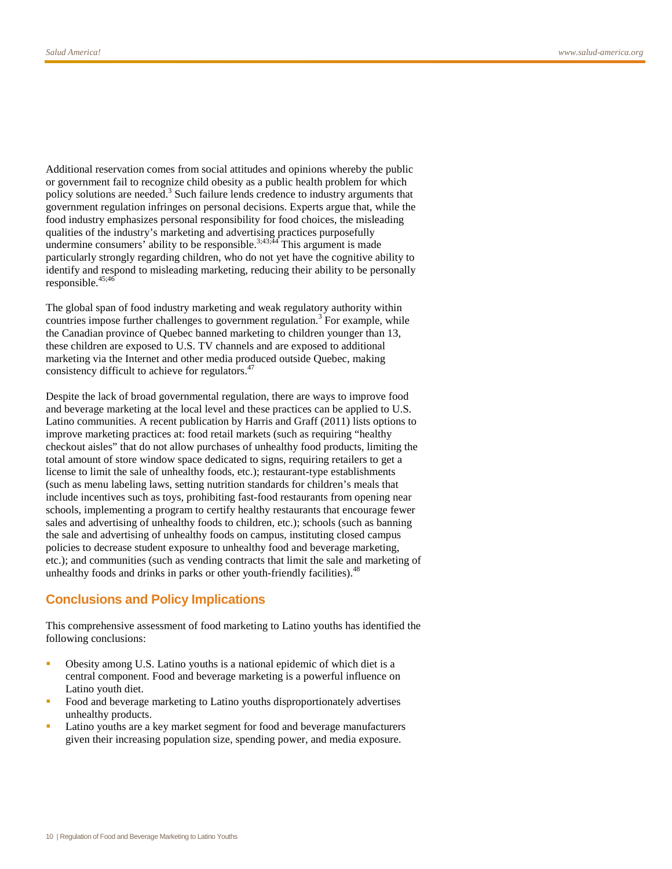Additional reservation comes from social attitudes and opinions whereby the public or government fail to recognize child obesity as a public health problem for which policy solutions are needed. $3$  Such failure lends credence to industry arguments that government regulation infringes on personal decisions. Experts argue that, while the food industry emphasizes personal responsibility for food choices, the misleading qualities of the industry's marketing and advertising practices purposefully undermine consumers' ability to be responsible.<sup>3;43;44</sup> This argument is made particularly strongly regarding children, who do not yet have the cognitive ability to identify and respond to misleading marketing, reducing their ability to be personally responsible. 45;46

The global span of food industry marketing and weak regulatory authority within countries impose further challenges to government regulation.<sup>3</sup> For example, while the Canadian province of Quebec banned marketing to children younger than 13, these children are exposed to U.S. TV channels and are exposed to additional marketing via the Internet and other media produced outside Quebec, making consistency difficult to achieve for regulators.<sup>47</sup>

Despite the lack of broad governmental regulation, there are ways to improve food and beverage marketing at the local level and these practices can be applied to U.S. Latino communities. A recent publication by Harris and Graff (2011) lists options to improve marketing practices at: food retail markets (such as requiring "healthy checkout aisles" that do not allow purchases of unhealthy food products, limiting the total amount of store window space dedicated to signs, requiring retailers to get a license to limit the sale of unhealthy foods, etc.); restaurant-type establishments (such as menu labeling laws, setting nutrition standards for children's meals that include incentives such as toys, prohibiting fast-food restaurants from opening near schools, implementing a program to certify healthy restaurants that encourage fewer sales and advertising of unhealthy foods to children, etc.); schools (such as banning the sale and advertising of unhealthy foods on campus, instituting closed campus policies to decrease student exposure to unhealthy food and beverage marketing, etc.); and communities (such as vending contracts that limit the sale and marketing of unhealthy foods and drinks in parks or other youth-friendly facilities).<sup>48</sup>

# **Conclusions and Policy Implications**

This comprehensive assessment of food marketing to Latino youths has identified the following conclusions:

- Obesity among U.S. Latino youths is a national epidemic of which diet is a central component. Food and beverage marketing is a powerful influence on Latino youth diet.
- Food and beverage marketing to Latino youths disproportionately advertises unhealthy products.
- Latino youths are a key market segment for food and beverage manufacturers given their increasing population size, spending power, and media exposure.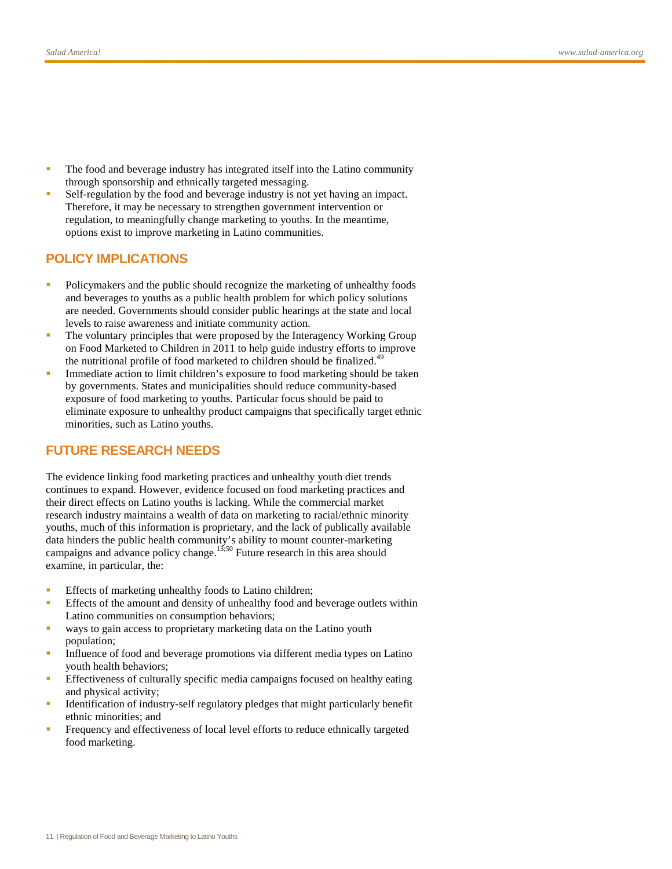- The food and beverage industry has integrated itself into the Latino community through sponsorship and ethnically targeted messaging.
- Self-regulation by the food and beverage industry is not yet having an impact. Therefore, it may be necessary to strengthen government intervention or regulation, to meaningfully change marketing to youths. In the meantime, options exist to improve marketing in Latino communities.

# **POLICY IMPLICATIONS**

- Policymakers and the public should recognize the marketing of unhealthy foods and beverages to youths as a public health problem for which policy solutions are needed. Governments should consider public hearings at the state and local levels to raise awareness and initiate community action.
- The voluntary principles that were proposed by the Interagency Working Group on Food Marketed to Children in 2011 to help guide industry efforts to improve the nutritional profile of food marketed to children should be finalized.<sup>49</sup>
- Immediate action to limit children's exposure to food marketing should be taken by governments. States and municipalities should reduce community-based exposure of food marketing to youths. Particular focus should be paid to eliminate exposure to unhealthy product campaigns that specifically target ethnic minorities, such as Latino youths.

# **FUTURE RESEARCH NEEDS**

The evidence linking food marketing practices and unhealthy youth diet trends continues to expand. However, evidence focused on food marketing practices and their direct effects on Latino youths is lacking. While the commercial market research industry maintains a wealth of data on marketing to racial/ethnic minority youths, much of this information is proprietary, and the lack of publically available data hinders the public health community's ability to mount counter-marketing campaigns and advance policy change.<sup>13,50</sup> Future research in this area should examine, in particular, the:

- **Effects of marketing unhealthy foods to Latino children;**
- Effects of the amount and density of unhealthy food and beverage outlets within Latino communities on consumption behaviors;
- ways to gain access to proprietary marketing data on the Latino youth population;
- Influence of food and beverage promotions via different media types on Latino youth health behaviors;
- Effectiveness of culturally specific media campaigns focused on healthy eating and physical activity;
- Identification of industry-self regulatory pledges that might particularly benefit ethnic minorities; and
- **Figure** Frequency and effectiveness of local level efforts to reduce ethnically targeted food marketing.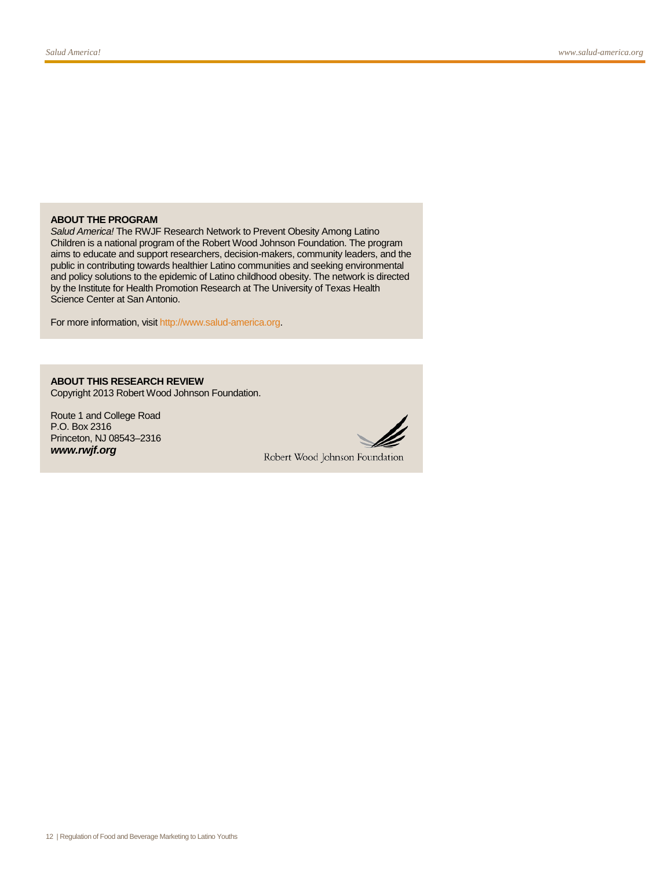#### **ABOUT THE PROGRAM**

*Salud America!* The RWJF Research Network to Prevent Obesity Among Latino Children is a national program of the Robert Wood Johnson Foundation. The program aims to educate and support researchers, decision-makers, community leaders, and the public in contributing towards healthier Latino communities and seeking environmental and policy solutions to the epidemic of Latino childhood obesity. The network is directed by the Institute for Health Promotion Research at The University of Texas Health Science Center at San Antonio.

For more information, visi[t http://www.salud-america.org.](http://www.salud-america.org/)

# **ABOUT THIS RESEARCH REVIEW**

Copyright 2013 Robert Wood Johnson Foundation.

Route 1 and College Road P.O. Box 2316 Princeton, NJ 08543–2316 *www.rwjf.org*



Robert Wood Johnson Foundation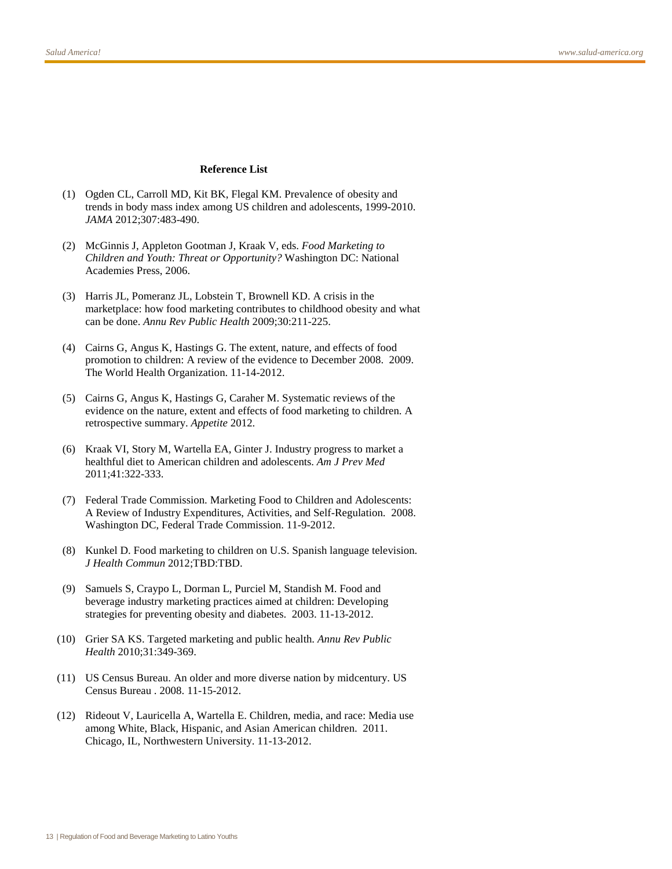#### **Reference List**

- (1) Ogden CL, Carroll MD, Kit BK, Flegal KM. Prevalence of obesity and trends in body mass index among US children and adolescents, 1999-2010. *JAMA* 2012;307:483-490.
- (2) McGinnis J, Appleton Gootman J, Kraak V, eds. *Food Marketing to Children and Youth: Threat or Opportunity?* Washington DC: National Academies Press, 2006.
- (3) Harris JL, Pomeranz JL, Lobstein T, Brownell KD. A crisis in the marketplace: how food marketing contributes to childhood obesity and what can be done. *Annu Rev Public Health* 2009;30:211-225.
- (4) Cairns G, Angus K, Hastings G. The extent, nature, and effects of food promotion to children: A review of the evidence to December 2008. 2009. The World Health Organization. 11-14-2012.
- (5) Cairns G, Angus K, Hastings G, Caraher M. Systematic reviews of the evidence on the nature, extent and effects of food marketing to children. A retrospective summary. *Appetite* 2012.
- (6) Kraak VI, Story M, Wartella EA, Ginter J. Industry progress to market a healthful diet to American children and adolescents. *Am J Prev Med* 2011;41:322-333.
- (7) Federal Trade Commission. Marketing Food to Children and Adolescents: A Review of Industry Expenditures, Activities, and Self-Regulation. 2008. Washington DC, Federal Trade Commission. 11-9-2012.
- (8) Kunkel D. Food marketing to children on U.S. Spanish language television. *J Health Commun* 2012;TBD:TBD.
- (9) Samuels S, Craypo L, Dorman L, Purciel M, Standish M. Food and beverage industry marketing practices aimed at children: Developing strategies for preventing obesity and diabetes. 2003. 11-13-2012.
- (10) Grier SA KS. Targeted marketing and public health. *Annu Rev Public Health* 2010;31:349-369.
- (11) US Census Bureau. An older and more diverse nation by midcentury. US Census Bureau . 2008. 11-15-2012.
- (12) Rideout V, Lauricella A, Wartella E. Children, media, and race: Media use among White, Black, Hispanic, and Asian American children. 2011. Chicago, IL, Northwestern University. 11-13-2012.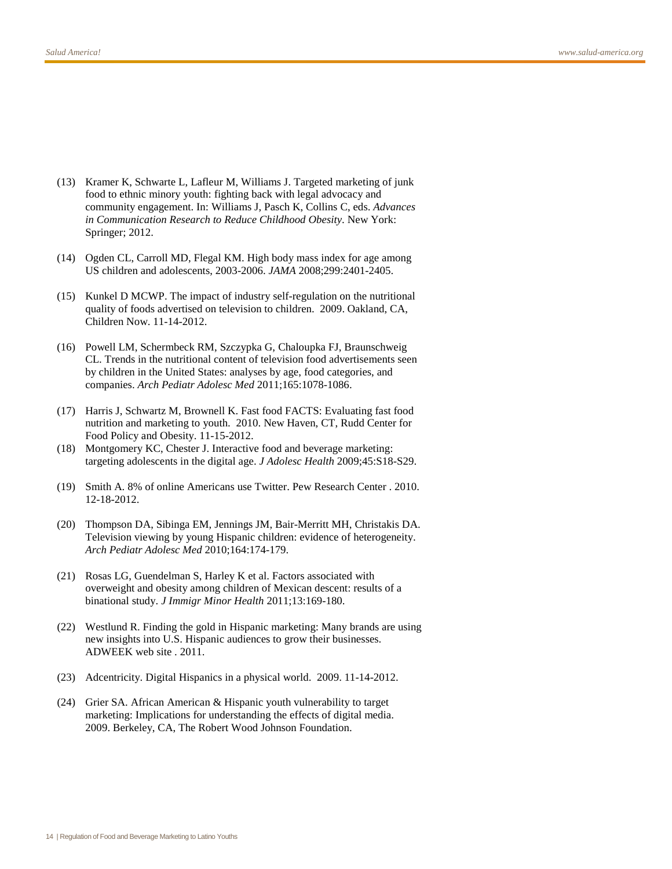- (13) Kramer K, Schwarte L, Lafleur M, Williams J. Targeted marketing of junk food to ethnic minory youth: fighting back with legal advocacy and community engagement. In: Williams J, Pasch K, Collins C, eds. *Advances in Communication Research to Reduce Childhood Obesity*. New York: Springer; 2012.
- (14) Ogden CL, Carroll MD, Flegal KM. High body mass index for age among US children and adolescents, 2003-2006. *JAMA* 2008;299:2401-2405.
- (15) Kunkel D MCWP. The impact of industry self-regulation on the nutritional quality of foods advertised on television to children. 2009. Oakland, CA, Children Now. 11-14-2012.
- (16) Powell LM, Schermbeck RM, Szczypka G, Chaloupka FJ, Braunschweig CL. Trends in the nutritional content of television food advertisements seen by children in the United States: analyses by age, food categories, and companies. *Arch Pediatr Adolesc Med* 2011;165:1078-1086.
- (17) Harris J, Schwartz M, Brownell K. Fast food FACTS: Evaluating fast food nutrition and marketing to youth. 2010. New Haven, CT, Rudd Center for Food Policy and Obesity. 11-15-2012.
- (18) Montgomery KC, Chester J. Interactive food and beverage marketing: targeting adolescents in the digital age. *J Adolesc Health* 2009;45:S18-S29.
- (19) Smith A. 8% of online Americans use Twitter. Pew Research Center . 2010. 12-18-2012.
- (20) Thompson DA, Sibinga EM, Jennings JM, Bair-Merritt MH, Christakis DA. Television viewing by young Hispanic children: evidence of heterogeneity. *Arch Pediatr Adolesc Med* 2010;164:174-179.
- (21) Rosas LG, Guendelman S, Harley K et al. Factors associated with overweight and obesity among children of Mexican descent: results of a binational study. *J Immigr Minor Health* 2011;13:169-180.
- (22) Westlund R. Finding the gold in Hispanic marketing: Many brands are using new insights into U.S. Hispanic audiences to grow their businesses. ADWEEK web site . 2011.
- (23) Adcentricity. Digital Hispanics in a physical world. 2009. 11-14-2012.
- (24) Grier SA. African American & Hispanic youth vulnerability to target marketing: Implications for understanding the effects of digital media. 2009. Berkeley, CA, The Robert Wood Johnson Foundation.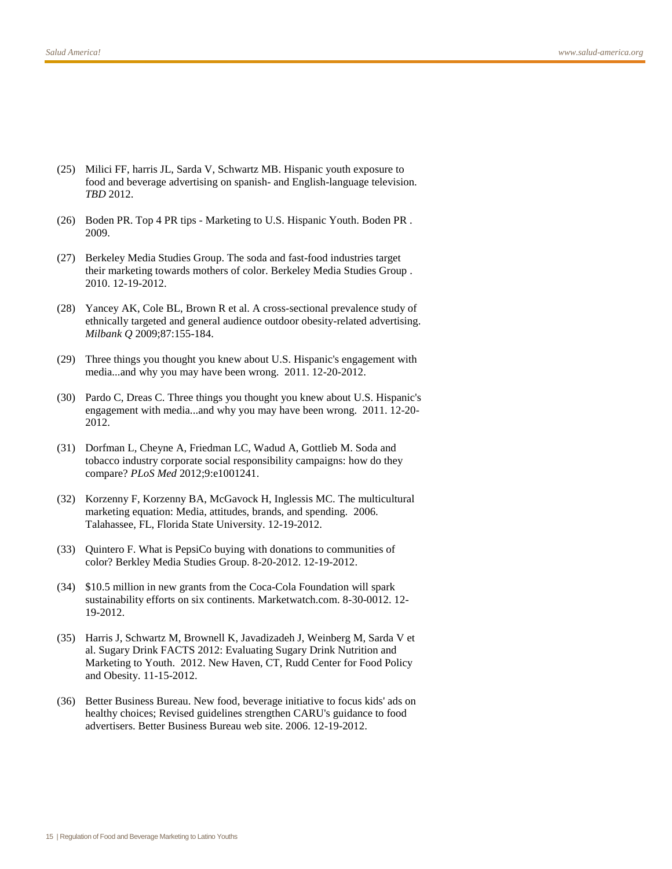- (25) Milici FF, harris JL, Sarda V, Schwartz MB. Hispanic youth exposure to food and beverage advertising on spanish- and English-language television. *TBD* 2012.
- (26) Boden PR. Top 4 PR tips Marketing to U.S. Hispanic Youth. Boden PR . 2009.
- (27) Berkeley Media Studies Group. The soda and fast-food industries target their marketing towards mothers of color. Berkeley Media Studies Group . 2010. 12-19-2012.
- (28) Yancey AK, Cole BL, Brown R et al. A cross-sectional prevalence study of ethnically targeted and general audience outdoor obesity-related advertising. *Milbank Q* 2009;87:155-184.
- (29) Three things you thought you knew about U.S. Hispanic's engagement with media...and why you may have been wrong. 2011. 12-20-2012.
- (30) Pardo C, Dreas C. Three things you thought you knew about U.S. Hispanic's engagement with media...and why you may have been wrong. 2011. 12-20- 2012.
- (31) Dorfman L, Cheyne A, Friedman LC, Wadud A, Gottlieb M. Soda and tobacco industry corporate social responsibility campaigns: how do they compare? *PLoS Med* 2012;9:e1001241.
- (32) Korzenny F, Korzenny BA, McGavock H, Inglessis MC. The multicultural marketing equation: Media, attitudes, brands, and spending. 2006. Talahassee, FL, Florida State University. 12-19-2012.
- (33) Quintero F. What is PepsiCo buying with donations to communities of color? Berkley Media Studies Group. 8-20-2012. 12-19-2012.
- (34) \$10.5 million in new grants from the Coca-Cola Foundation will spark sustainability efforts on six continents. Marketwatch.com. 8-30-0012. 12- 19-2012.
- (35) Harris J, Schwartz M, Brownell K, Javadizadeh J, Weinberg M, Sarda V et al. Sugary Drink FACTS 2012: Evaluating Sugary Drink Nutrition and Marketing to Youth. 2012. New Haven, CT, Rudd Center for Food Policy and Obesity. 11-15-2012.
- (36) Better Business Bureau. New food, beverage initiative to focus kids' ads on healthy choices; Revised guidelines strengthen CARU's guidance to food advertisers. Better Business Bureau web site. 2006. 12-19-2012.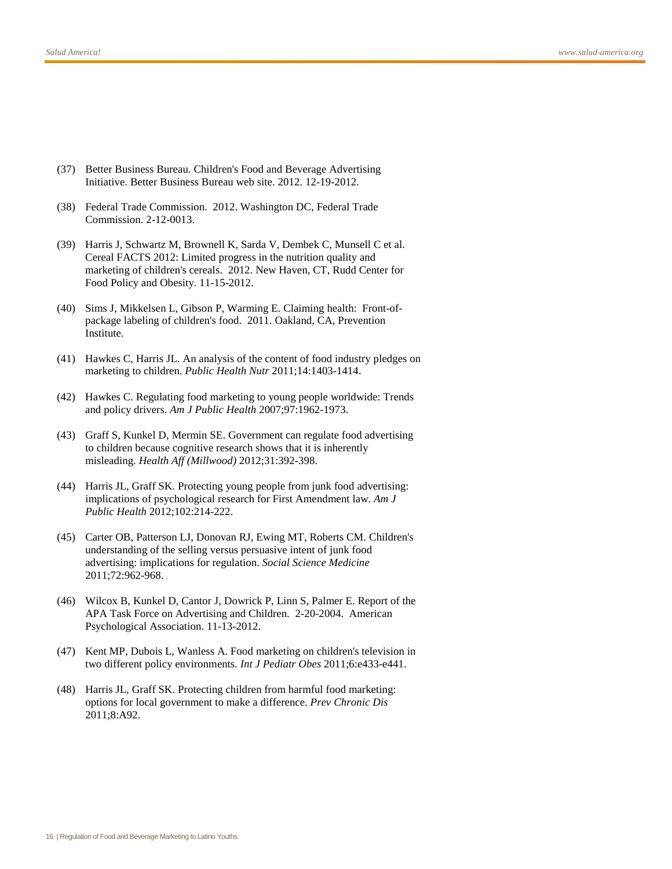- (37) Better Business Bureau. Children's Food and Beverage Advertising Initiative. Better Business Bureau web site. 2012. 12-19-2012.
- (38) Federal Trade Commission. 2012. Washington DC, Federal Trade Commission. 2-12-0013.
- (39) Harris J, Schwartz M, Brownell K, Sarda V, Dembek C, Munsell C et al. Cereal FACTS 2012: Limited progress in the nutrition quality and marketing of children's cereals. 2012. New Haven, CT, Rudd Center for Food Policy and Obesity. 11-15-2012.
- (40) Sims J, Mikkelsen L, Gibson P, Warming E. Claiming health: Front-ofpackage labeling of children's food. 2011. Oakland, CA, Prevention Institute.
- (41) Hawkes C, Harris JL. An analysis of the content of food industry pledges on marketing to children. *Public Health Nutr* 2011;14:1403-1414.
- (42) Hawkes C. Regulating food marketing to young people worldwide: Trends and policy drivers. *Am J Public Health* 2007;97:1962-1973.
- (43) Graff S, Kunkel D, Mermin SE. Government can regulate food advertising to children because cognitive research shows that it is inherently misleading. *Health Aff (Millwood)* 2012;31:392-398.
- (44) Harris JL, Graff SK. Protecting young people from junk food advertising: implications of psychological research for First Amendment law. *Am J Public Health* 2012;102:214-222.
- (45) Carter OB, Patterson LJ, Donovan RJ, Ewing MT, Roberts CM. Children's understanding of the selling versus persuasive intent of junk food advertising: implications for regulation. *Social Science Medicine* 2011;72:962-968.
- (46) Wilcox B, Kunkel D, Cantor J, Dowrick P, Linn S, Palmer E. Report of the APA Task Force on Advertising and Children. 2-20-2004. American Psychological Association. 11-13-2012.
- (47) Kent MP, Dubois L, Wanless A. Food marketing on children's television in two different policy environments. *Int J Pediatr Obes* 2011;6:e433-e441.
- (48) Harris JL, Graff SK. Protecting children from harmful food marketing: options for local government to make a difference. *Prev Chronic Dis* 2011;8:A92.